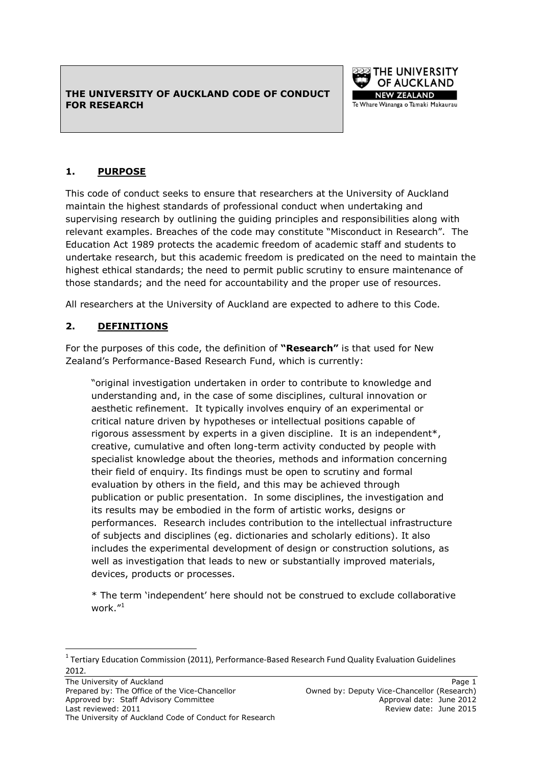#### **THE UNIVERSITY OF AUCKLAND CODE OF CONDUCT FOR RESEARCH**



### **1. PURPOSE**

This code of conduct seeks to ensure that researchers at the University of Auckland maintain the highest standards of professional conduct when undertaking and supervising research by outlining the guiding principles and responsibilities along with relevant examples. Breaches of the code may constitute "Misconduct in Research". The Education Act 1989 protects the academic freedom of academic staff and students to undertake research, but this academic freedom is predicated on the need to maintain the highest ethical standards; the need to permit public scrutiny to ensure maintenance of those standards; and the need for accountability and the proper use of resources.

All researchers at the University of Auckland are expected to adhere to this Code.

### **2. DEFINITIONS**

For the purposes of this code, the definition of **"Research"** is that used for New Zealand"s Performance-Based Research Fund, which is currently:

"original investigation undertaken in order to contribute to knowledge and understanding and, in the case of some disciplines, cultural innovation or aesthetic refinement. It typically involves enquiry of an experimental or critical nature driven by hypotheses or intellectual positions capable of rigorous assessment by experts in a given discipline. It is an independent\*, creative, cumulative and often long-term activity conducted by people with specialist knowledge about the theories, methods and information concerning their field of enquiry. Its findings must be open to scrutiny and formal evaluation by others in the field, and this may be achieved through publication or public presentation. In some disciplines, the investigation and its results may be embodied in the form of artistic works, designs or performances. Research includes contribution to the intellectual infrastructure of subjects and disciplines (eg. dictionaries and scholarly editions). It also includes the experimental development of design or construction solutions, as well as investigation that leads to new or substantially improved materials, devices, products or processes.

\* The term "independent" here should not be construed to exclude collaborative work."<sup>1</sup>

 $\overline{a}$ 

 $1$  Tertiary Education Commission (2011), Performance-Based Research Fund Quality Evaluation Guidelines 2012.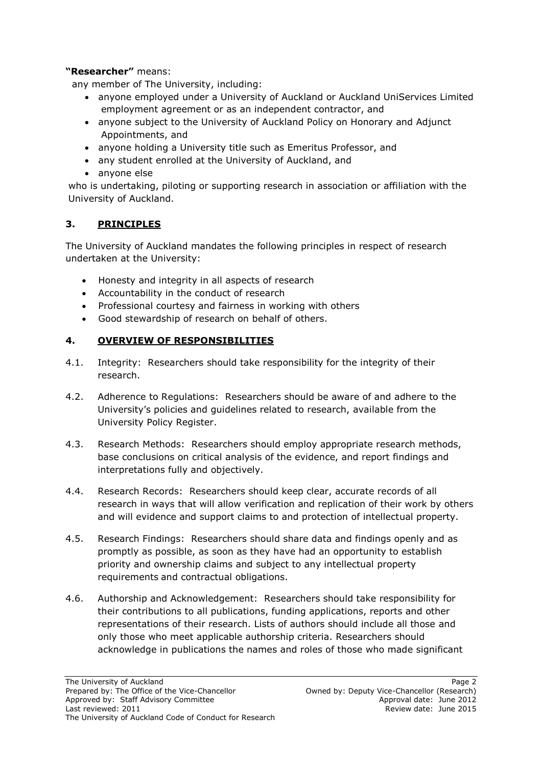### **"Researcher"** means:

any member of The University, including:

- anyone employed under a University of Auckland or Auckland UniServices Limited employment agreement or as an independent contractor, and
- anyone subject to the University of Auckland Policy on Honorary and Adjunct Appointments, and
- anyone holding a University title such as Emeritus Professor, and
- any student enrolled at the University of Auckland, and
- anyone else

who is undertaking, piloting or supporting research in association or affiliation with the University of Auckland.

## **3. PRINCIPLES**

The University of Auckland mandates the following principles in respect of research undertaken at the University:

- Honesty and integrity in all aspects of research
- Accountability in the conduct of research
- Professional courtesy and fairness in working with others
- Good stewardship of research on behalf of others.

## **4. OVERVIEW OF RESPONSIBILITIES**

- 4.1. Integrity: Researchers should take responsibility for the integrity of their research.
- 4.2. Adherence to Regulations: Researchers should be aware of and adhere to the University"s policies and guidelines related to research, available from the University Policy Register.
- 4.3. Research Methods: Researchers should employ appropriate research methods, base conclusions on critical analysis of the evidence, and report findings and interpretations fully and objectively.
- 4.4. Research Records: Researchers should keep clear, accurate records of all research in ways that will allow verification and replication of their work by others and will evidence and support claims to and protection of intellectual property.
- 4.5. Research Findings: Researchers should share data and findings openly and as promptly as possible, as soon as they have had an opportunity to establish priority and ownership claims and subject to any intellectual property requirements and contractual obligations.
- 4.6. Authorship and Acknowledgement: Researchers should take responsibility for their contributions to all publications, funding applications, reports and other representations of their research. Lists of authors should include all those and only those who meet applicable authorship criteria. Researchers should acknowledge in publications the names and roles of those who made significant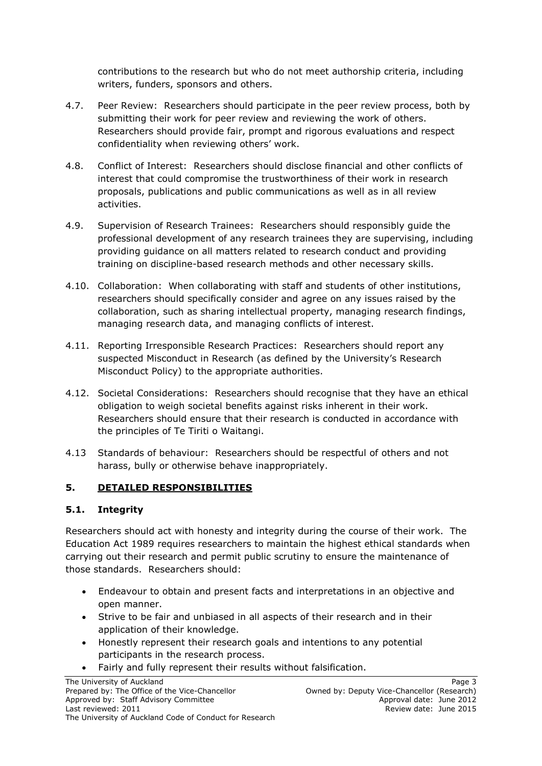contributions to the research but who do not meet authorship criteria, including writers, funders, sponsors and others.

- 4.7. Peer Review: Researchers should participate in the peer review process, both by submitting their work for peer review and reviewing the work of others. Researchers should provide fair, prompt and rigorous evaluations and respect confidentiality when reviewing others' work.
- 4.8. Conflict of Interest: Researchers should disclose financial and other conflicts of interest that could compromise the trustworthiness of their work in research proposals, publications and public communications as well as in all review activities.
- 4.9. Supervision of Research Trainees: Researchers should responsibly guide the professional development of any research trainees they are supervising, including providing guidance on all matters related to research conduct and providing training on discipline-based research methods and other necessary skills.
- 4.10. Collaboration: When collaborating with staff and students of other institutions, researchers should specifically consider and agree on any issues raised by the collaboration, such as sharing intellectual property, managing research findings, managing research data, and managing conflicts of interest.
- 4.11. Reporting Irresponsible Research Practices: Researchers should report any suspected Misconduct in Research (as defined by the University's Research Misconduct Policy) to the appropriate authorities.
- 4.12. Societal Considerations: Researchers should recognise that they have an ethical obligation to weigh societal benefits against risks inherent in their work. Researchers should ensure that their research is conducted in accordance with the principles of Te Tiriti o Waitangi.
- 4.13 Standards of behaviour: Researchers should be respectful of others and not harass, bully or otherwise behave inappropriately.

## **5. DETAILED RESPONSIBILITIES**

### **5.1. Integrity**

Researchers should act with honesty and integrity during the course of their work. The Education Act 1989 requires researchers to maintain the highest ethical standards when carrying out their research and permit public scrutiny to ensure the maintenance of those standards. Researchers should:

- Endeavour to obtain and present facts and interpretations in an objective and open manner.
- Strive to be fair and unbiased in all aspects of their research and in their application of their knowledge.
- Honestly represent their research goals and intentions to any potential participants in the research process.
- Fairly and fully represent their results without falsification.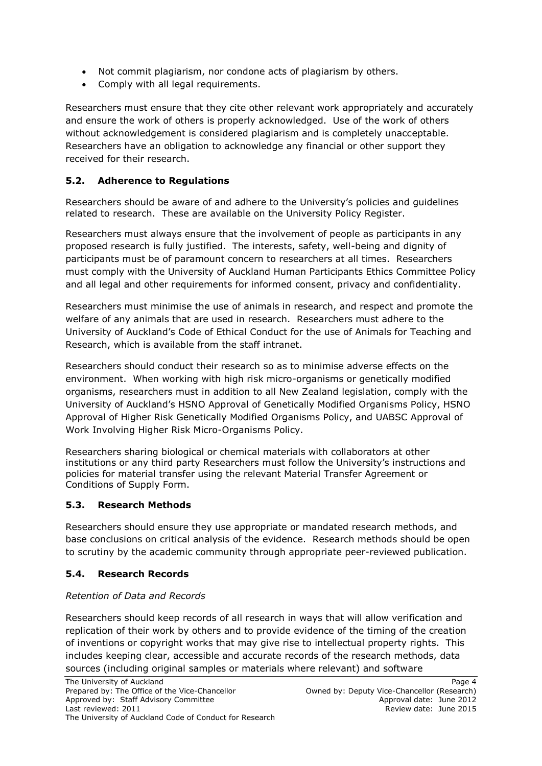- Not commit plagiarism, nor condone acts of plagiarism by others.
- Comply with all legal requirements.

Researchers must ensure that they cite other relevant work appropriately and accurately and ensure the work of others is properly acknowledged. Use of the work of others without acknowledgement is considered plagiarism and is completely unacceptable. Researchers have an obligation to acknowledge any financial or other support they received for their research.

## **5.2. Adherence to Regulations**

Researchers should be aware of and adhere to the University"s policies and guidelines related to research. These are available on the University Policy Register.

Researchers must always ensure that the involvement of people as participants in any proposed research is fully justified. The interests, safety, well-being and dignity of participants must be of paramount concern to researchers at all times. Researchers must comply with the University of Auckland Human Participants Ethics Committee Policy and all legal and other requirements for informed consent, privacy and confidentiality.

Researchers must minimise the use of animals in research, and respect and promote the welfare of any animals that are used in research. Researchers must adhere to the University of Auckland"s Code of Ethical Conduct for the use of Animals for Teaching and Research, which is available from the staff intranet.

Researchers should conduct their research so as to minimise adverse effects on the environment. When working with high risk micro-organisms or genetically modified organisms, researchers must in addition to all New Zealand legislation, comply with the University of Auckland"s HSNO Approval of Genetically Modified Organisms Policy, HSNO Approval of Higher Risk Genetically Modified Organisms Policy, and UABSC Approval of Work Involving Higher Risk Micro-Organisms Policy.

Researchers sharing biological or chemical materials with collaborators at other institutions or any third party Researchers must follow the University's instructions and policies for material transfer using the relevant Material Transfer Agreement or Conditions of Supply Form.

### **5.3. Research Methods**

Researchers should ensure they use appropriate or mandated research methods, and base conclusions on critical analysis of the evidence. Research methods should be open to scrutiny by the academic community through appropriate peer-reviewed publication.

### **5.4. Research Records**

#### *Retention of Data and Records*

Researchers should keep records of all research in ways that will allow verification and replication of their work by others and to provide evidence of the timing of the creation of inventions or copyright works that may give rise to intellectual property rights. This includes keeping clear, accessible and accurate records of the research methods, data sources (including original samples or materials where relevant) and software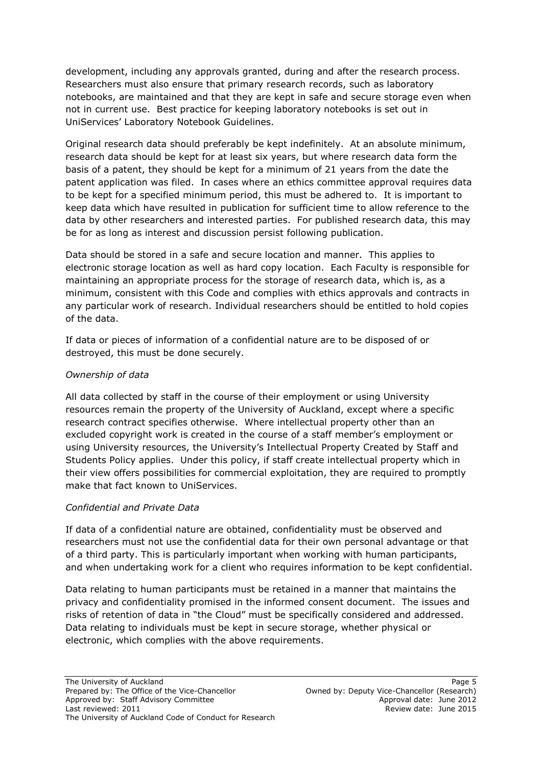development, including any approvals granted, during and after the research process. Researchers must also ensure that primary research records, such as laboratory notebooks, are maintained and that they are kept in safe and secure storage even when not in current use. Best practice for keeping laboratory notebooks is set out in UniServices" Laboratory Notebook Guidelines.

Original research data should preferably be kept indefinitely. At an absolute minimum, research data should be kept for at least six years, but where research data form the basis of a patent, they should be kept for a minimum of 21 years from the date the patent application was filed. In cases where an ethics committee approval requires data to be kept for a specified minimum period, this must be adhered to. It is important to keep data which have resulted in publication for sufficient time to allow reference to the data by other researchers and interested parties. For published research data, this may be for as long as interest and discussion persist following publication.

Data should be stored in a safe and secure location and manner. This applies to electronic storage location as well as hard copy location. Each Faculty is responsible for maintaining an appropriate process for the storage of research data, which is, as a minimum, consistent with this Code and complies with ethics approvals and contracts in any particular work of research. Individual researchers should be entitled to hold copies of the data.

If data or pieces of information of a confidential nature are to be disposed of or destroyed, this must be done securely.

### *Ownership of data*

All data collected by staff in the course of their employment or using University resources remain the property of the University of Auckland, except where a specific research contract specifies otherwise. Where intellectual property other than an excluded copyright work is created in the course of a staff member"s employment or using University resources, the University"s Intellectual Property Created by Staff and Students Policy applies. Under this policy, if staff create intellectual property which in their view offers possibilities for commercial exploitation, they are required to promptly make that fact known to UniServices.

#### *Confidential and Private Data*

If data of a confidential nature are obtained, confidentiality must be observed and researchers must not use the confidential data for their own personal advantage or that of a third party. This is particularly important when working with human participants, and when undertaking work for a client who requires information to be kept confidential.

Data relating to human participants must be retained in a manner that maintains the privacy and confidentiality promised in the informed consent document. The issues and risks of retention of data in "the Cloud" must be specifically considered and addressed. Data relating to individuals must be kept in secure storage, whether physical or electronic, which complies with the above requirements.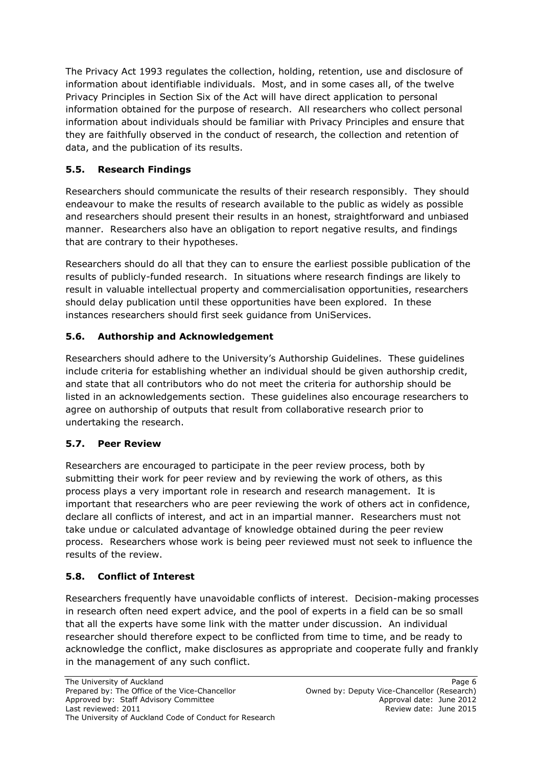The Privacy Act 1993 regulates the collection, holding, retention, use and disclosure of information about identifiable individuals. Most, and in some cases all, of the twelve Privacy Principles in Section Six of the Act will have direct application to personal information obtained for the purpose of research. All researchers who collect personal information about individuals should be familiar with Privacy Principles and ensure that they are faithfully observed in the conduct of research, the collection and retention of data, and the publication of its results.

# **5.5. Research Findings**

Researchers should communicate the results of their research responsibly. They should endeavour to make the results of research available to the public as widely as possible and researchers should present their results in an honest, straightforward and unbiased manner. Researchers also have an obligation to report negative results, and findings that are contrary to their hypotheses.

Researchers should do all that they can to ensure the earliest possible publication of the results of publicly-funded research. In situations where research findings are likely to result in valuable intellectual property and commercialisation opportunities, researchers should delay publication until these opportunities have been explored. In these instances researchers should first seek guidance from UniServices.

# **5.6. Authorship and Acknowledgement**

Researchers should adhere to the University"s Authorship Guidelines. These guidelines include criteria for establishing whether an individual should be given authorship credit, and state that all contributors who do not meet the criteria for authorship should be listed in an acknowledgements section. These guidelines also encourage researchers to agree on authorship of outputs that result from collaborative research prior to undertaking the research.

## **5.7. Peer Review**

Researchers are encouraged to participate in the peer review process, both by submitting their work for peer review and by reviewing the work of others, as this process plays a very important role in research and research management. It is important that researchers who are peer reviewing the work of others act in confidence, declare all conflicts of interest, and act in an impartial manner. Researchers must not take undue or calculated advantage of knowledge obtained during the peer review process. Researchers whose work is being peer reviewed must not seek to influence the results of the review.

## **5.8. Conflict of Interest**

Researchers frequently have unavoidable conflicts of interest. Decision-making processes in research often need expert advice, and the pool of experts in a field can be so small that all the experts have some link with the matter under discussion. An individual researcher should therefore expect to be conflicted from time to time, and be ready to acknowledge the conflict, make disclosures as appropriate and cooperate fully and frankly in the management of any such conflict.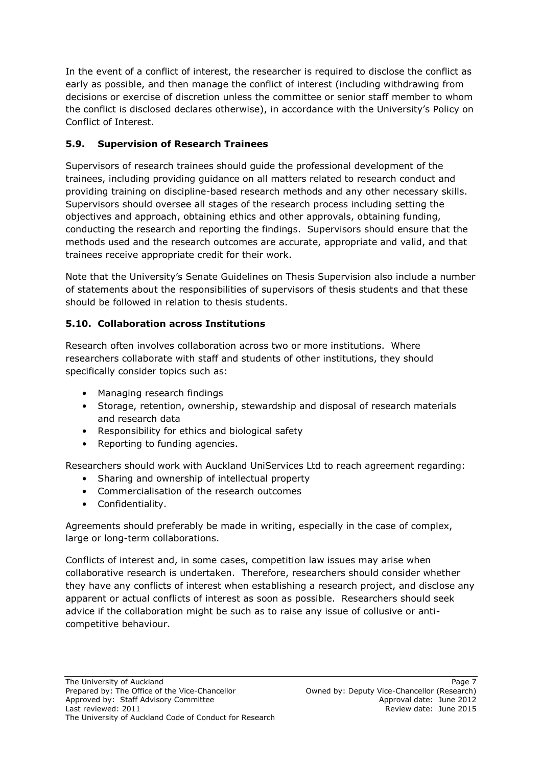In the event of a conflict of interest, the researcher is required to disclose the conflict as early as possible, and then manage the conflict of interest (including withdrawing from decisions or exercise of discretion unless the committee or senior staff member to whom the conflict is disclosed declares otherwise), in accordance with the University"s Policy on Conflict of Interest.

## **5.9. Supervision of Research Trainees**

Supervisors of research trainees should guide the professional development of the trainees, including providing guidance on all matters related to research conduct and providing training on discipline-based research methods and any other necessary skills. Supervisors should oversee all stages of the research process including setting the objectives and approach, obtaining ethics and other approvals, obtaining funding, conducting the research and reporting the findings. Supervisors should ensure that the methods used and the research outcomes are accurate, appropriate and valid, and that trainees receive appropriate credit for their work.

Note that the University"s Senate Guidelines on Thesis Supervision also include a number of statements about the responsibilities of supervisors of thesis students and that these should be followed in relation to thesis students.

# **5.10. Collaboration across Institutions**

Research often involves collaboration across two or more institutions. Where researchers collaborate with staff and students of other institutions, they should specifically consider topics such as:

- Managing research findings
- Storage, retention, ownership, stewardship and disposal of research materials and research data
- Responsibility for ethics and biological safety
- Reporting to funding agencies.

Researchers should work with Auckland UniServices Ltd to reach agreement regarding:

- Sharing and ownership of intellectual property
- Commercialisation of the research outcomes
- Confidentiality.

Agreements should preferably be made in writing, especially in the case of complex, large or long-term collaborations.

Conflicts of interest and, in some cases, competition law issues may arise when collaborative research is undertaken. Therefore, researchers should consider whether they have any conflicts of interest when establishing a research project, and disclose any apparent or actual conflicts of interest as soon as possible. Researchers should seek advice if the collaboration might be such as to raise any issue of collusive or anticompetitive behaviour.